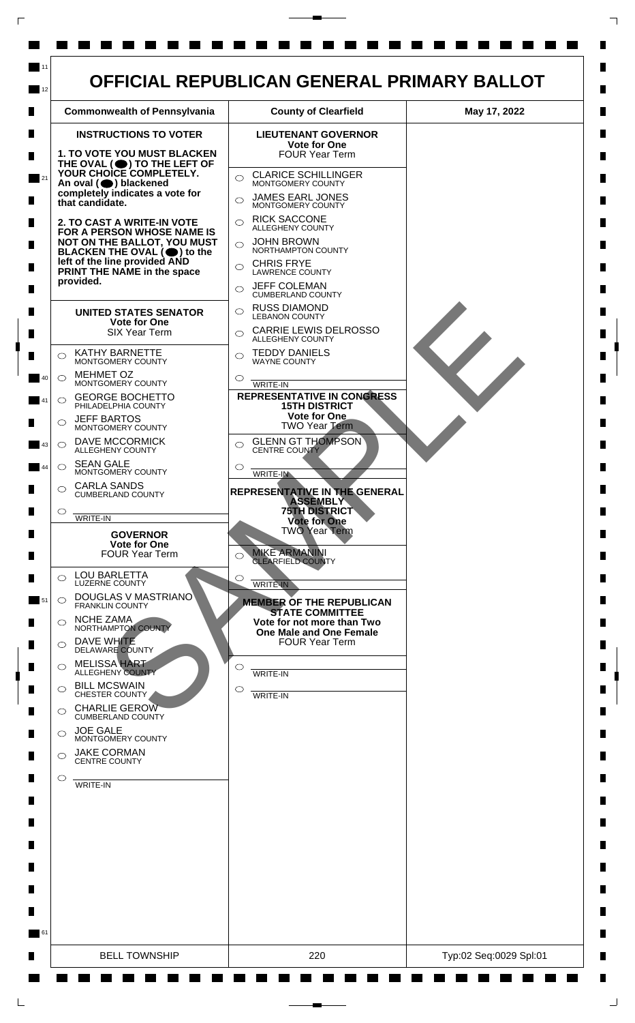

 $\mathsf{L}$ 

 $\Box$